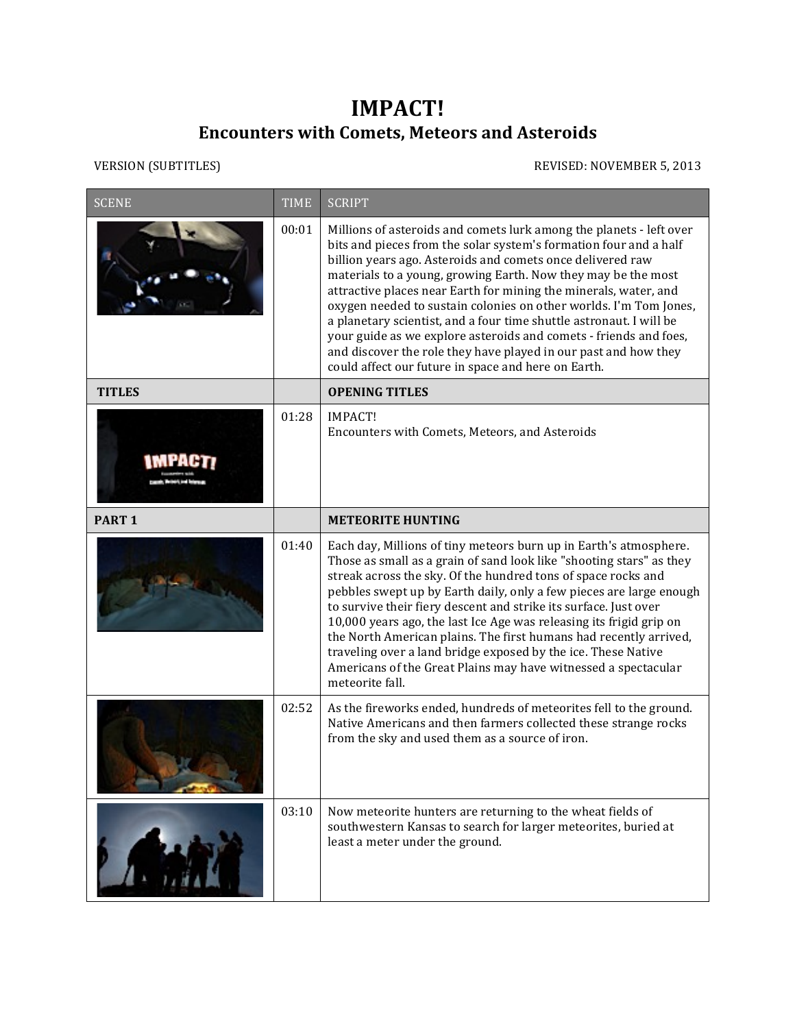## **IMPACT! Encounters with Comets, Meteors and Asteroids**

VERSION (SUBTITLES) REVISED: NOVEMBER 5, 2013

| <b>SCENE</b>      | <b>TIME</b> | <b>SCRIPT</b>                                                                                                                                                                                                                                                                                                                                                                                                                                                                                                                                                                                                                                                                          |
|-------------------|-------------|----------------------------------------------------------------------------------------------------------------------------------------------------------------------------------------------------------------------------------------------------------------------------------------------------------------------------------------------------------------------------------------------------------------------------------------------------------------------------------------------------------------------------------------------------------------------------------------------------------------------------------------------------------------------------------------|
|                   | 00:01       | Millions of asteroids and comets lurk among the planets - left over<br>bits and pieces from the solar system's formation four and a half<br>billion years ago. Asteroids and comets once delivered raw<br>materials to a young, growing Earth. Now they may be the most<br>attractive places near Earth for mining the minerals, water, and<br>oxygen needed to sustain colonies on other worlds. I'm Tom Jones,<br>a planetary scientist, and a four time shuttle astronaut. I will be<br>your guide as we explore asteroids and comets - friends and foes,<br>and discover the role they have played in our past and how they<br>could affect our future in space and here on Earth. |
| <b>TITLES</b>     |             | <b>OPENING TITLES</b>                                                                                                                                                                                                                                                                                                                                                                                                                                                                                                                                                                                                                                                                  |
|                   | 01:28       | <b>IMPACT!</b><br>Encounters with Comets, Meteors, and Asteroids                                                                                                                                                                                                                                                                                                                                                                                                                                                                                                                                                                                                                       |
| PART <sub>1</sub> |             | <b>METEORITE HUNTING</b>                                                                                                                                                                                                                                                                                                                                                                                                                                                                                                                                                                                                                                                               |
|                   | 01:40       | Each day, Millions of tiny meteors burn up in Earth's atmosphere.<br>Those as small as a grain of sand look like "shooting stars" as they<br>streak across the sky. Of the hundred tons of space rocks and<br>pebbles swept up by Earth daily, only a few pieces are large enough<br>to survive their fiery descent and strike its surface. Just over<br>10,000 years ago, the last Ice Age was releasing its frigid grip on<br>the North American plains. The first humans had recently arrived,<br>traveling over a land bridge exposed by the ice. These Native<br>Americans of the Great Plains may have witnessed a spectacular<br>meteorite fall.                                |
|                   | 02:52       | As the fireworks ended, hundreds of meteorites fell to the ground.<br>Native Americans and then farmers collected these strange rocks<br>from the sky and used them as a source of iron.                                                                                                                                                                                                                                                                                                                                                                                                                                                                                               |
|                   | 03:10       | Now meteorite hunters are returning to the wheat fields of<br>southwestern Kansas to search for larger meteorites, buried at<br>least a meter under the ground.                                                                                                                                                                                                                                                                                                                                                                                                                                                                                                                        |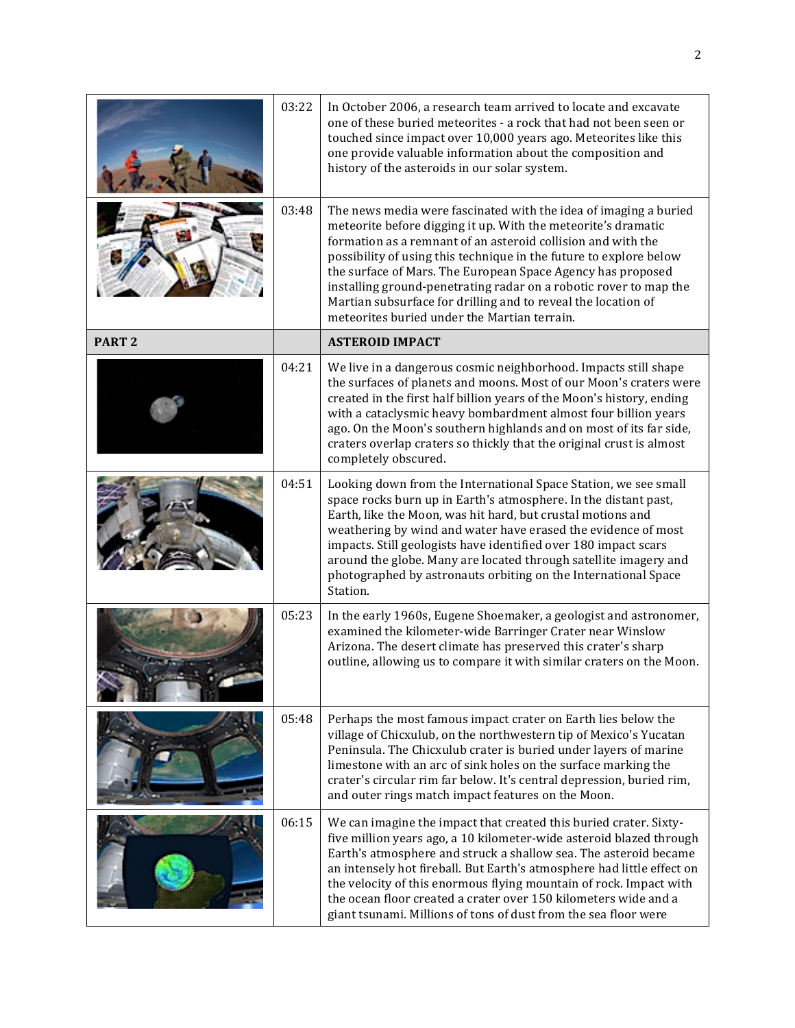|                   | 03:22 | In October 2006, a research team arrived to locate and excavate<br>one of these buried meteorites - a rock that had not been seen or<br>touched since impact over 10,000 years ago. Meteorites like this<br>one provide valuable information about the composition and<br>history of the asteroids in our solar system.                                                                                                                                                                                                      |
|-------------------|-------|------------------------------------------------------------------------------------------------------------------------------------------------------------------------------------------------------------------------------------------------------------------------------------------------------------------------------------------------------------------------------------------------------------------------------------------------------------------------------------------------------------------------------|
|                   | 03:48 | The news media were fascinated with the idea of imaging a buried<br>meteorite before digging it up. With the meteorite's dramatic<br>formation as a remnant of an asteroid collision and with the<br>possibility of using this technique in the future to explore below<br>the surface of Mars. The European Space Agency has proposed<br>installing ground-penetrating radar on a robotic rover to map the<br>Martian subsurface for drilling and to reveal the location of<br>meteorites buried under the Martian terrain. |
| PART <sub>2</sub> |       | <b>ASTEROID IMPACT</b>                                                                                                                                                                                                                                                                                                                                                                                                                                                                                                       |
|                   | 04:21 | We live in a dangerous cosmic neighborhood. Impacts still shape<br>the surfaces of planets and moons. Most of our Moon's craters were<br>created in the first half billion years of the Moon's history, ending<br>with a cataclysmic heavy bombardment almost four billion years<br>ago. On the Moon's southern highlands and on most of its far side,<br>craters overlap craters so thickly that the original crust is almost<br>completely obscured.                                                                       |
|                   | 04:51 | Looking down from the International Space Station, we see small<br>space rocks burn up in Earth's atmosphere. In the distant past,<br>Earth, like the Moon, was hit hard, but crustal motions and<br>weathering by wind and water have erased the evidence of most<br>impacts. Still geologists have identified over 180 impact scars<br>around the globe. Many are located through satellite imagery and<br>photographed by astronauts orbiting on the International Space<br>Station.                                      |
|                   | 05:23 | In the early 1960s, Eugene Shoemaker, a geologist and astronomer,<br>examined the kilometer-wide Barringer Crater near Winslow<br>Arizona. The desert climate has preserved this crater's sharp<br>outline, allowing us to compare it with similar craters on the Moon.                                                                                                                                                                                                                                                      |
|                   | 05:48 | Perhaps the most famous impact crater on Earth lies below the<br>village of Chicxulub, on the northwestern tip of Mexico's Yucatan<br>Peninsula. The Chicxulub crater is buried under layers of marine<br>limestone with an arc of sink holes on the surface marking the<br>crater's circular rim far below. It's central depression, buried rim,<br>and outer rings match impact features on the Moon.                                                                                                                      |
|                   | 06:15 | We can imagine the impact that created this buried crater. Sixty-<br>five million years ago, a 10 kilometer-wide asteroid blazed through<br>Earth's atmosphere and struck a shallow sea. The asteroid became<br>an intensely hot fireball. But Earth's atmosphere had little effect on<br>the velocity of this enormous flying mountain of rock. Impact with<br>the ocean floor created a crater over 150 kilometers wide and a<br>giant tsunami. Millions of tons of dust from the sea floor were                           |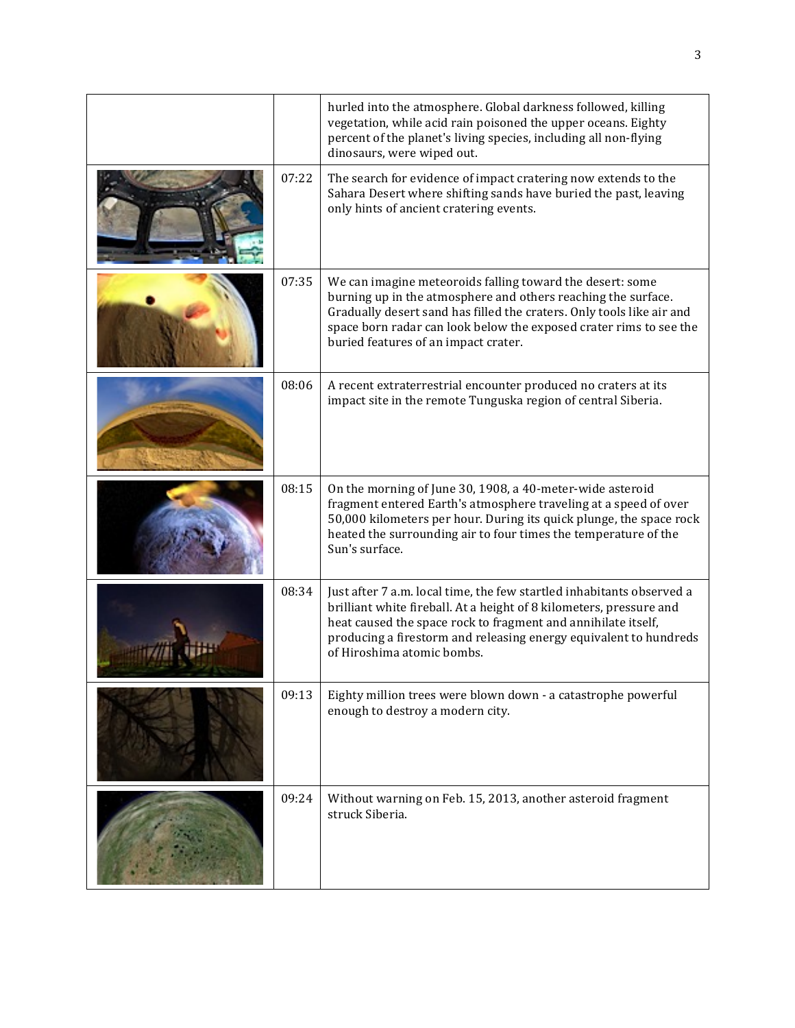|       | hurled into the atmosphere. Global darkness followed, killing<br>vegetation, while acid rain poisoned the upper oceans. Eighty<br>percent of the planet's living species, including all non-flying<br>dinosaurs, were wiped out.                                                                                  |
|-------|-------------------------------------------------------------------------------------------------------------------------------------------------------------------------------------------------------------------------------------------------------------------------------------------------------------------|
| 07:22 | The search for evidence of impact cratering now extends to the<br>Sahara Desert where shifting sands have buried the past, leaving<br>only hints of ancient cratering events.                                                                                                                                     |
| 07:35 | We can imagine meteoroids falling toward the desert: some<br>burning up in the atmosphere and others reaching the surface.<br>Gradually desert sand has filled the craters. Only tools like air and<br>space born radar can look below the exposed crater rims to see the<br>buried features of an impact crater. |
| 08:06 | A recent extraterrestrial encounter produced no craters at its<br>impact site in the remote Tunguska region of central Siberia.                                                                                                                                                                                   |
| 08:15 | On the morning of June 30, 1908, a 40-meter-wide asteroid<br>fragment entered Earth's atmosphere traveling at a speed of over<br>50,000 kilometers per hour. During its quick plunge, the space rock<br>heated the surrounding air to four times the temperature of the<br>Sun's surface.                         |
| 08:34 | Just after 7 a.m. local time, the few startled inhabitants observed a<br>brilliant white fireball. At a height of 8 kilometers, pressure and<br>heat caused the space rock to fragment and annihilate itself,<br>producing a firestorm and releasing energy equivalent to hundreds<br>of Hiroshima atomic bombs.  |
| 09:13 | Eighty million trees were blown down - a catastrophe powerful<br>enough to destroy a modern city.                                                                                                                                                                                                                 |
| 09:24 | Without warning on Feb. 15, 2013, another asteroid fragment<br>struck Siberia.                                                                                                                                                                                                                                    |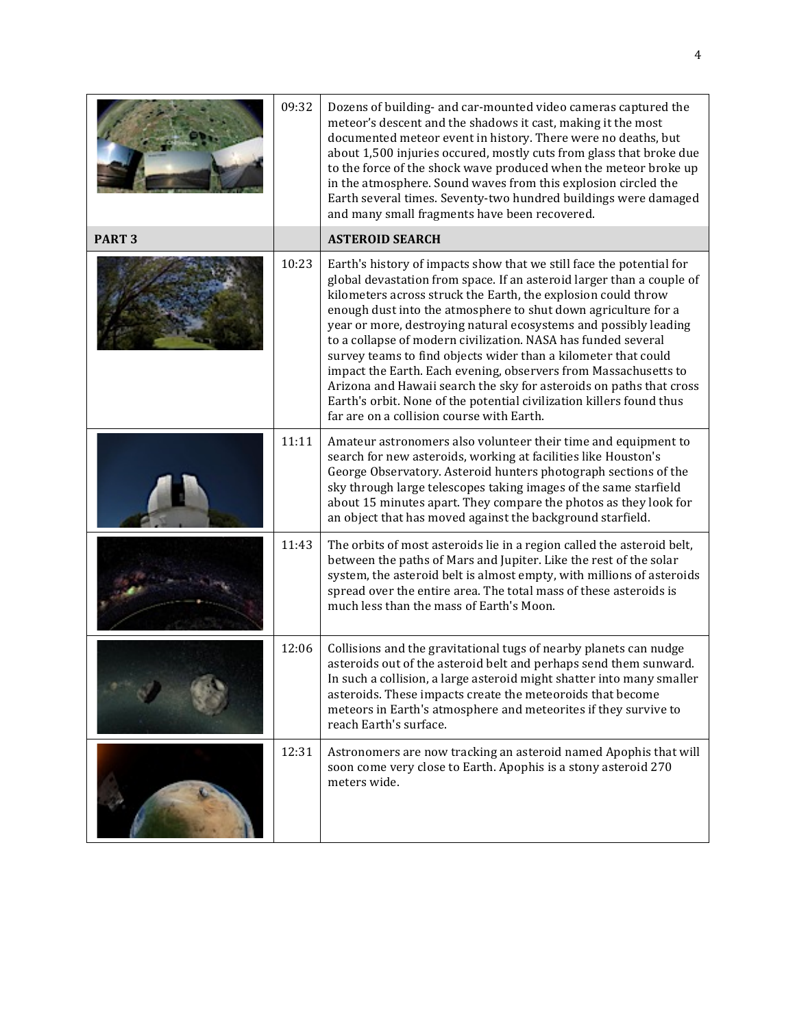|                   | 09:32 | Dozens of building- and car-mounted video cameras captured the<br>meteor's descent and the shadows it cast, making it the most<br>documented meteor event in history. There were no deaths, but<br>about 1,500 injuries occured, mostly cuts from glass that broke due<br>to the force of the shock wave produced when the meteor broke up<br>in the atmosphere. Sound waves from this explosion circled the<br>Earth several times. Seventy-two hundred buildings were damaged<br>and many small fragments have been recovered.                                                                                                                                                                                                                       |
|-------------------|-------|--------------------------------------------------------------------------------------------------------------------------------------------------------------------------------------------------------------------------------------------------------------------------------------------------------------------------------------------------------------------------------------------------------------------------------------------------------------------------------------------------------------------------------------------------------------------------------------------------------------------------------------------------------------------------------------------------------------------------------------------------------|
| PART <sub>3</sub> |       | <b>ASTEROID SEARCH</b>                                                                                                                                                                                                                                                                                                                                                                                                                                                                                                                                                                                                                                                                                                                                 |
|                   | 10:23 | Earth's history of impacts show that we still face the potential for<br>global devastation from space. If an asteroid larger than a couple of<br>kilometers across struck the Earth, the explosion could throw<br>enough dust into the atmosphere to shut down agriculture for a<br>year or more, destroying natural ecosystems and possibly leading<br>to a collapse of modern civilization. NASA has funded several<br>survey teams to find objects wider than a kilometer that could<br>impact the Earth. Each evening, observers from Massachusetts to<br>Arizona and Hawaii search the sky for asteroids on paths that cross<br>Earth's orbit. None of the potential civilization killers found thus<br>far are on a collision course with Earth. |
|                   | 11:11 | Amateur astronomers also volunteer their time and equipment to<br>search for new asteroids, working at facilities like Houston's<br>George Observatory. Asteroid hunters photograph sections of the<br>sky through large telescopes taking images of the same starfield<br>about 15 minutes apart. They compare the photos as they look for<br>an object that has moved against the background starfield.                                                                                                                                                                                                                                                                                                                                              |
|                   | 11:43 | The orbits of most asteroids lie in a region called the asteroid belt,<br>between the paths of Mars and Jupiter. Like the rest of the solar<br>system, the asteroid belt is almost empty, with millions of asteroids<br>spread over the entire area. The total mass of these asteroids is<br>much less than the mass of Earth's Moon.                                                                                                                                                                                                                                                                                                                                                                                                                  |
|                   | 12:06 | Collisions and the gravitational tugs of nearby planets can nudge<br>asteroids out of the asteroid belt and perhaps send them sunward.<br>In such a collision, a large asteroid might shatter into many smaller<br>asteroids. These impacts create the meteoroids that become<br>meteors in Earth's atmosphere and meteorites if they survive to<br>reach Earth's surface.                                                                                                                                                                                                                                                                                                                                                                             |
|                   | 12:31 | Astronomers are now tracking an asteroid named Apophis that will<br>soon come very close to Earth. Apophis is a stony asteroid 270<br>meters wide.                                                                                                                                                                                                                                                                                                                                                                                                                                                                                                                                                                                                     |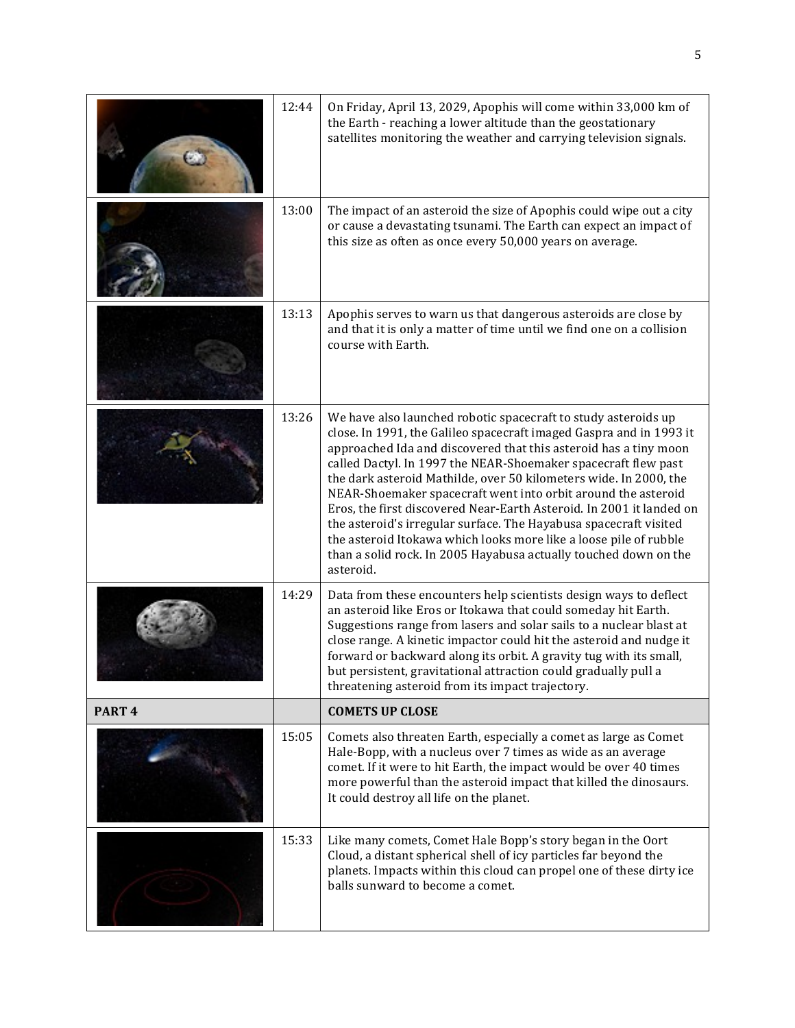|                   | 12:44 | On Friday, April 13, 2029, Apophis will come within 33,000 km of<br>the Earth - reaching a lower altitude than the geostationary<br>satellites monitoring the weather and carrying television signals.                                                                                                                                                                                                                                                                                                                                                                                                                                                                                                               |
|-------------------|-------|----------------------------------------------------------------------------------------------------------------------------------------------------------------------------------------------------------------------------------------------------------------------------------------------------------------------------------------------------------------------------------------------------------------------------------------------------------------------------------------------------------------------------------------------------------------------------------------------------------------------------------------------------------------------------------------------------------------------|
|                   | 13:00 | The impact of an asteroid the size of Apophis could wipe out a city<br>or cause a devastating tsunami. The Earth can expect an impact of<br>this size as often as once every 50,000 years on average.                                                                                                                                                                                                                                                                                                                                                                                                                                                                                                                |
|                   | 13:13 | Apophis serves to warn us that dangerous asteroids are close by<br>and that it is only a matter of time until we find one on a collision<br>course with Earth.                                                                                                                                                                                                                                                                                                                                                                                                                                                                                                                                                       |
|                   | 13:26 | We have also launched robotic spacecraft to study asteroids up<br>close. In 1991, the Galileo spacecraft imaged Gaspra and in 1993 it<br>approached Ida and discovered that this asteroid has a tiny moon<br>called Dactyl. In 1997 the NEAR-Shoemaker spacecraft flew past<br>the dark asteroid Mathilde, over 50 kilometers wide. In 2000, the<br>NEAR-Shoemaker spacecraft went into orbit around the asteroid<br>Eros, the first discovered Near-Earth Asteroid. In 2001 it landed on<br>the asteroid's irregular surface. The Hayabusa spacecraft visited<br>the asteroid Itokawa which looks more like a loose pile of rubble<br>than a solid rock. In 2005 Hayabusa actually touched down on the<br>asteroid. |
|                   | 14:29 | Data from these encounters help scientists design ways to deflect<br>an asteroid like Eros or Itokawa that could someday hit Earth.<br>Suggestions range from lasers and solar sails to a nuclear blast at<br>close range. A kinetic impactor could hit the asteroid and nudge it<br>forward or backward along its orbit. A gravity tug with its small,<br>but persistent, gravitational attraction could gradually pull a<br>threatening asteroid from its impact trajectory.                                                                                                                                                                                                                                       |
| PART <sub>4</sub> |       | <b>COMETS UP CLOSE</b>                                                                                                                                                                                                                                                                                                                                                                                                                                                                                                                                                                                                                                                                                               |
|                   | 15:05 | Comets also threaten Earth, especially a comet as large as Comet<br>Hale-Bopp, with a nucleus over 7 times as wide as an average<br>comet. If it were to hit Earth, the impact would be over 40 times<br>more powerful than the asteroid impact that killed the dinosaurs.<br>It could destroy all life on the planet.                                                                                                                                                                                                                                                                                                                                                                                               |
|                   | 15:33 | Like many comets, Comet Hale Bopp's story began in the Oort<br>Cloud, a distant spherical shell of icy particles far beyond the<br>planets. Impacts within this cloud can propel one of these dirty ice<br>balls sunward to become a comet.                                                                                                                                                                                                                                                                                                                                                                                                                                                                          |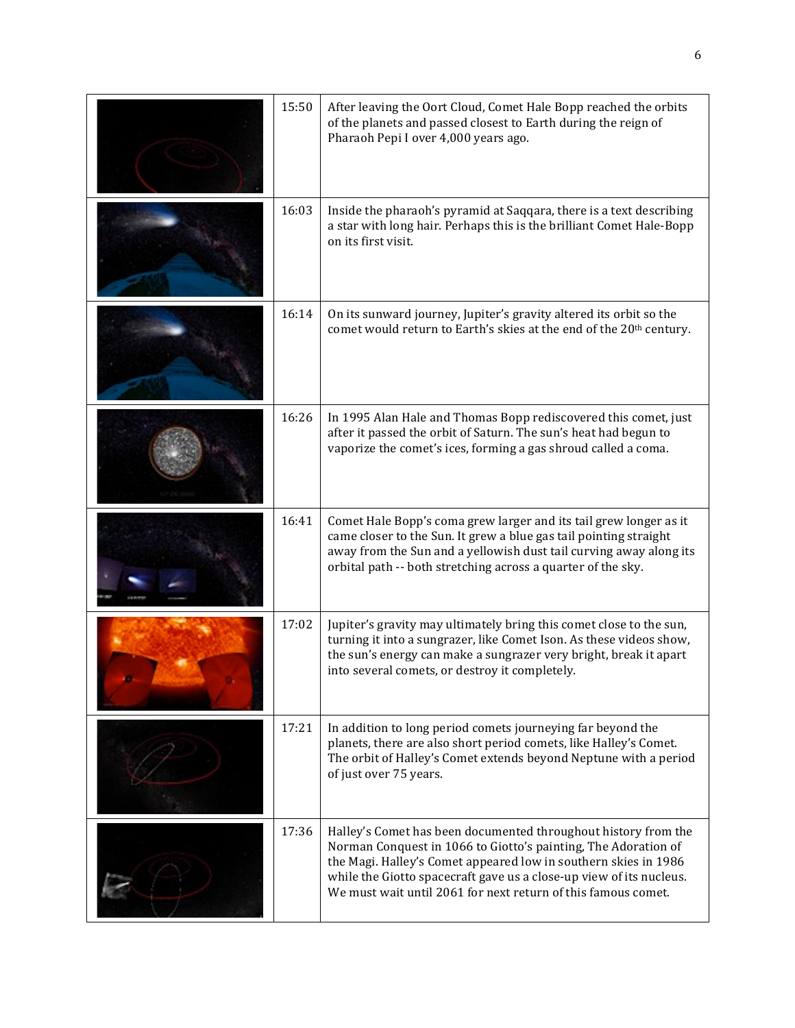| 15:50 | After leaving the Oort Cloud, Comet Hale Bopp reached the orbits                                                                                                                                                                                                                                                                            |
|-------|---------------------------------------------------------------------------------------------------------------------------------------------------------------------------------------------------------------------------------------------------------------------------------------------------------------------------------------------|
|       | of the planets and passed closest to Earth during the reign of<br>Pharaoh Pepi I over 4,000 years ago.                                                                                                                                                                                                                                      |
| 16:03 | Inside the pharaoh's pyramid at Saqqara, there is a text describing<br>a star with long hair. Perhaps this is the brilliant Comet Hale-Bopp<br>on its first visit.                                                                                                                                                                          |
| 16:14 | On its sunward journey, Jupiter's gravity altered its orbit so the<br>comet would return to Earth's skies at the end of the 20 <sup>th</sup> century.                                                                                                                                                                                       |
| 16:26 | In 1995 Alan Hale and Thomas Bopp rediscovered this comet, just<br>after it passed the orbit of Saturn. The sun's heat had begun to<br>vaporize the comet's ices, forming a gas shroud called a coma.                                                                                                                                       |
| 16:41 | Comet Hale Bopp's coma grew larger and its tail grew longer as it<br>came closer to the Sun. It grew a blue gas tail pointing straight<br>away from the Sun and a yellowish dust tail curving away along its<br>orbital path -- both stretching across a quarter of the sky.                                                                |
| 17:02 | Jupiter's gravity may ultimately bring this comet close to the sun,<br>turning it into a sungrazer, like Comet Ison. As these videos show,<br>the sun's energy can make a sungrazer very bright, break it apart<br>into several comets, or destroy it completely.                                                                           |
| 17:21 | In addition to long period comets journeying far beyond the<br>planets, there are also short period comets, like Halley's Comet.<br>The orbit of Halley's Comet extends beyond Neptune with a period<br>of just over 75 years.                                                                                                              |
| 17:36 | Halley's Comet has been documented throughout history from the<br>Norman Conquest in 1066 to Giotto's painting, The Adoration of<br>the Magi. Halley's Comet appeared low in southern skies in 1986<br>while the Giotto spacecraft gave us a close-up view of its nucleus.<br>We must wait until 2061 for next return of this famous comet. |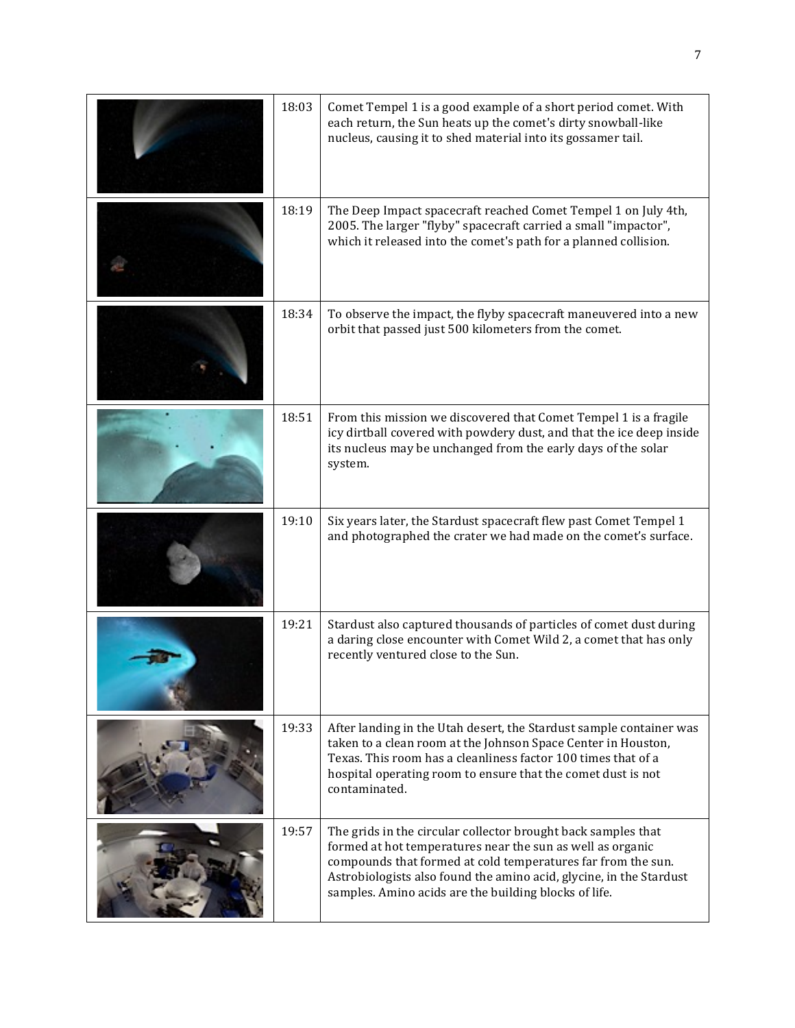| 18:03 | Comet Tempel 1 is a good example of a short period comet. With<br>each return, the Sun heats up the comet's dirty snowball-like<br>nucleus, causing it to shed material into its gossamer tail.                                                                                                                             |
|-------|-----------------------------------------------------------------------------------------------------------------------------------------------------------------------------------------------------------------------------------------------------------------------------------------------------------------------------|
| 18:19 | The Deep Impact spacecraft reached Comet Tempel 1 on July 4th,<br>2005. The larger "flyby" spacecraft carried a small "impactor",<br>which it released into the comet's path for a planned collision.                                                                                                                       |
| 18:34 | To observe the impact, the flyby spacecraft maneuvered into a new<br>orbit that passed just 500 kilometers from the comet.                                                                                                                                                                                                  |
| 18:51 | From this mission we discovered that Comet Tempel 1 is a fragile<br>icy dirtball covered with powdery dust, and that the ice deep inside<br>its nucleus may be unchanged from the early days of the solar<br>system.                                                                                                        |
| 19:10 | Six years later, the Stardust spacecraft flew past Comet Tempel 1<br>and photographed the crater we had made on the comet's surface.                                                                                                                                                                                        |
| 19:21 | Stardust also captured thousands of particles of comet dust during<br>a daring close encounter with Comet Wild 2, a comet that has only<br>recently ventured close to the Sun.                                                                                                                                              |
| 19:33 | After landing in the Utah desert, the Stardust sample container was<br>taken to a clean room at the Johnson Space Center in Houston,<br>Texas. This room has a cleanliness factor 100 times that of a<br>hospital operating room to ensure that the comet dust is not<br>contaminated.                                      |
| 19:57 | The grids in the circular collector brought back samples that<br>formed at hot temperatures near the sun as well as organic<br>compounds that formed at cold temperatures far from the sun.<br>Astrobiologists also found the amino acid, glycine, in the Stardust<br>samples. Amino acids are the building blocks of life. |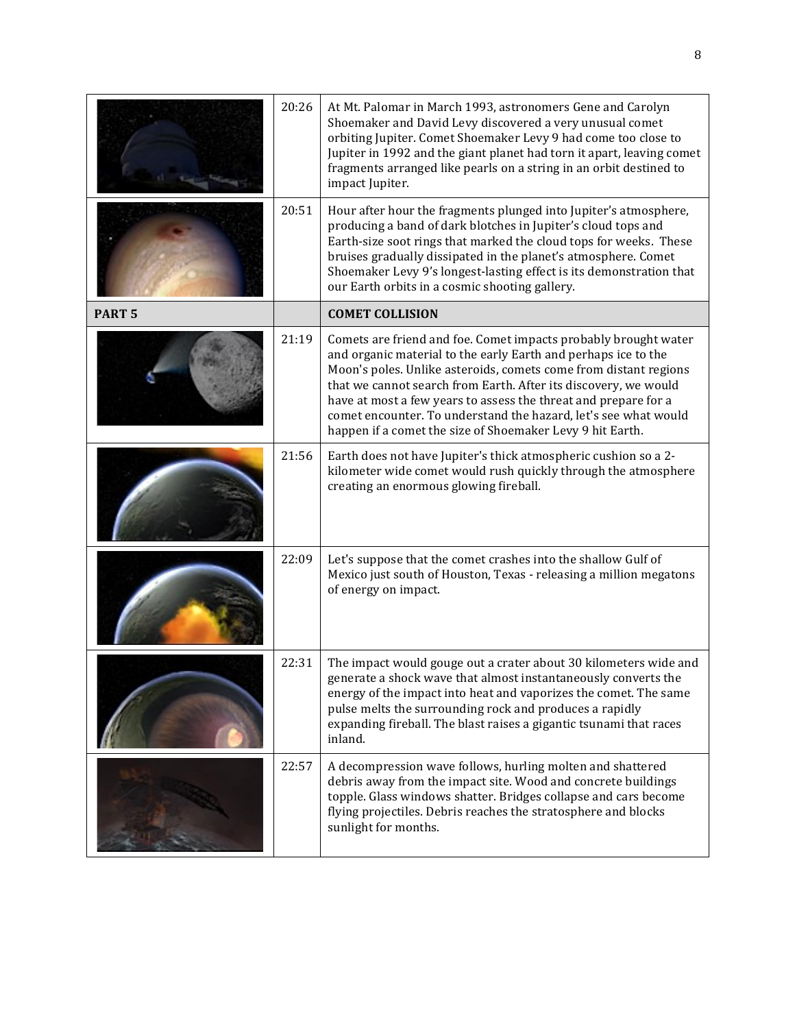|               | 20:26 | At Mt. Palomar in March 1993, astronomers Gene and Carolyn<br>Shoemaker and David Levy discovered a very unusual comet<br>orbiting Jupiter. Comet Shoemaker Levy 9 had come too close to<br>Jupiter in 1992 and the giant planet had torn it apart, leaving comet<br>fragments arranged like pearls on a string in an orbit destined to<br>impact Jupiter.                                                                                                                  |
|---------------|-------|-----------------------------------------------------------------------------------------------------------------------------------------------------------------------------------------------------------------------------------------------------------------------------------------------------------------------------------------------------------------------------------------------------------------------------------------------------------------------------|
|               | 20:51 | Hour after hour the fragments plunged into Jupiter's atmosphere,<br>producing a band of dark blotches in Jupiter's cloud tops and<br>Earth-size soot rings that marked the cloud tops for weeks. These<br>bruises gradually dissipated in the planet's atmosphere. Comet<br>Shoemaker Levy 9's longest-lasting effect is its demonstration that<br>our Earth orbits in a cosmic shooting gallery.                                                                           |
| <b>PART 5</b> |       | <b>COMET COLLISION</b>                                                                                                                                                                                                                                                                                                                                                                                                                                                      |
|               | 21:19 | Comets are friend and foe. Comet impacts probably brought water<br>and organic material to the early Earth and perhaps ice to the<br>Moon's poles. Unlike asteroids, comets come from distant regions<br>that we cannot search from Earth. After its discovery, we would<br>have at most a few years to assess the threat and prepare for a<br>comet encounter. To understand the hazard, let's see what would<br>happen if a comet the size of Shoemaker Levy 9 hit Earth. |
|               | 21:56 | Earth does not have Jupiter's thick atmospheric cushion so a 2-<br>kilometer wide comet would rush quickly through the atmosphere<br>creating an enormous glowing fireball.                                                                                                                                                                                                                                                                                                 |
|               | 22:09 | Let's suppose that the comet crashes into the shallow Gulf of<br>Mexico just south of Houston, Texas - releasing a million megatons<br>of energy on impact.                                                                                                                                                                                                                                                                                                                 |
|               | 22:31 | The impact would gouge out a crater about 30 kilometers wide and<br>generate a shock wave that almost instantaneously converts the<br>energy of the impact into heat and vaporizes the comet. The same<br>pulse melts the surrounding rock and produces a rapidly<br>expanding fireball. The blast raises a gigantic tsunami that races<br>inland.                                                                                                                          |
|               | 22:57 | A decompression wave follows, hurling molten and shattered<br>debris away from the impact site. Wood and concrete buildings<br>topple. Glass windows shatter. Bridges collapse and cars become<br>flying projectiles. Debris reaches the stratosphere and blocks<br>sunlight for months.                                                                                                                                                                                    |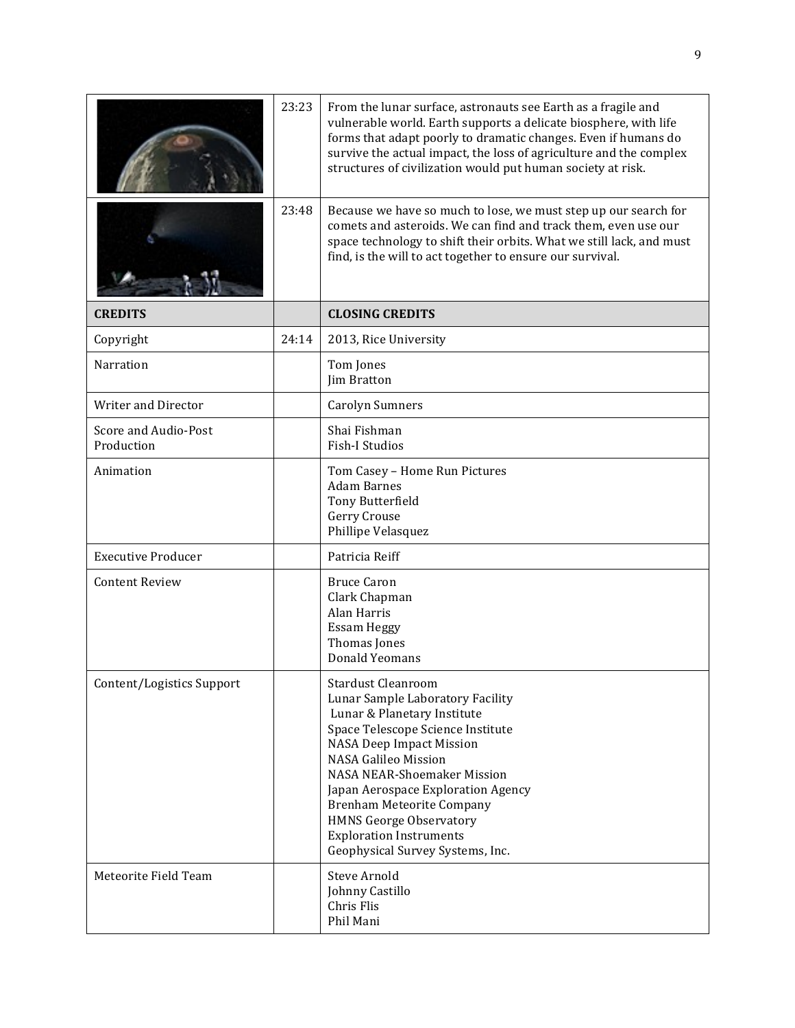|                                    | 23:23 | From the lunar surface, astronauts see Earth as a fragile and<br>vulnerable world. Earth supports a delicate biosphere, with life<br>forms that adapt poorly to dramatic changes. Even if humans do<br>survive the actual impact, the loss of agriculture and the complex<br>structures of civilization would put human society at risk.                                                                             |
|------------------------------------|-------|----------------------------------------------------------------------------------------------------------------------------------------------------------------------------------------------------------------------------------------------------------------------------------------------------------------------------------------------------------------------------------------------------------------------|
|                                    | 23:48 | Because we have so much to lose, we must step up our search for<br>comets and asteroids. We can find and track them, even use our<br>space technology to shift their orbits. What we still lack, and must<br>find, is the will to act together to ensure our survival.                                                                                                                                               |
| <b>CREDITS</b>                     |       | <b>CLOSING CREDITS</b>                                                                                                                                                                                                                                                                                                                                                                                               |
| Copyright                          | 24:14 | 2013, Rice University                                                                                                                                                                                                                                                                                                                                                                                                |
| Narration                          |       | Tom Jones<br>Jim Bratton                                                                                                                                                                                                                                                                                                                                                                                             |
| Writer and Director                |       | <b>Carolyn Sumners</b>                                                                                                                                                                                                                                                                                                                                                                                               |
| Score and Audio-Post<br>Production |       | Shai Fishman<br><b>Fish-I Studios</b>                                                                                                                                                                                                                                                                                                                                                                                |
| Animation                          |       | Tom Casey - Home Run Pictures<br><b>Adam Barnes</b><br>Tony Butterfield<br>Gerry Crouse<br>Phillipe Velasquez                                                                                                                                                                                                                                                                                                        |
| <b>Executive Producer</b>          |       | Patricia Reiff                                                                                                                                                                                                                                                                                                                                                                                                       |
| <b>Content Review</b>              |       | <b>Bruce Caron</b><br>Clark Chapman<br>Alan Harris<br>Essam Heggy<br>Thomas Jones<br><b>Donald Yeomans</b>                                                                                                                                                                                                                                                                                                           |
| Content/Logistics Support          |       | <b>Stardust Cleanroom</b><br>Lunar Sample Laboratory Facility<br>Lunar & Planetary Institute<br>Space Telescope Science Institute<br>NASA Deep Impact Mission<br><b>NASA Galileo Mission</b><br><b>NASA NEAR-Shoemaker Mission</b><br>Japan Aerospace Exploration Agency<br><b>Brenham Meteorite Company</b><br><b>HMNS George Observatory</b><br><b>Exploration Instruments</b><br>Geophysical Survey Systems, Inc. |
| Meteorite Field Team               |       | <b>Steve Arnold</b><br>Johnny Castillo<br>Chris Flis<br>Phil Mani                                                                                                                                                                                                                                                                                                                                                    |